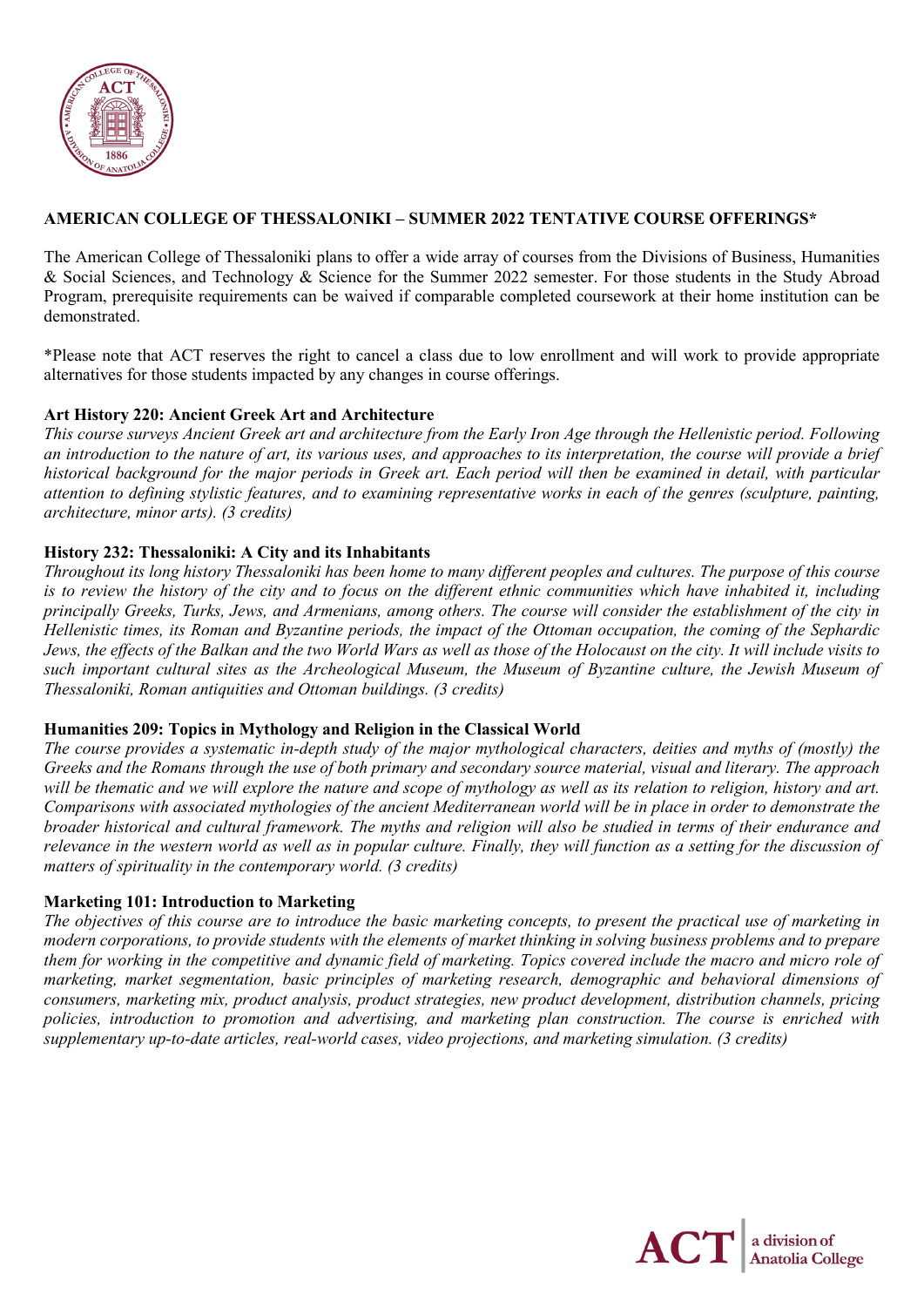

# **AMERICAN COLLEGE OF THESSALONIKI – SUMMER 2022 TENTATIVE COURSE OFFERINGS\***

The American College of Thessaloniki plans to offer a wide array of courses from the Divisions of Business, Humanities & Social Sciences, and Technology & Science for the Summer 2022 semester. For those students in the Study Abroad Program, prerequisite requirements can be waived if comparable completed coursework at their home institution can be demonstrated.

\*Please note that ACT reserves the right to cancel a class due to low enrollment and will work to provide appropriate alternatives for those students impacted by any changes in course offerings.

#### **Art History 220: Ancient Greek Art and Architecture**

*This course surveys Ancient Greek art and architecture from the Early Iron Age through the Hellenistic period. Following an introduction to the nature of art, its various uses, and approaches to its interpretation, the course will provide a brief historical background for the major periods in Greek art. Each period will then be examined in detail, with particular attention to defining stylistic features, and to examining representative works in each of the genres (sculpture, painting, architecture, minor arts). (3 credits)*

## **History 232: Thessaloniki: A City and its Inhabitants**

*Throughout its long history Thessaloniki has been home to many different peoples and cultures. The purpose of this course is to review the history of the city and to focus on the different ethnic communities which have inhabited it, including principally Greeks, Turks, Jews, and Armenians, among others. The course will consider the establishment of the city in Hellenistic times, its Roman and Byzantine periods, the impact of the Ottoman occupation, the coming of the Sephardic Jews, the effects of the Balkan and the two World Wars as well as those of the Holocaust on the city. It will include visits to such important cultural sites as the Archeological Museum, the Museum of Byzantine culture, the Jewish Museum of Thessaloniki, Roman antiquities and Ottoman buildings. (3 credits)*

## **Humanities 209: Topics in Mythology and Religion in the Classical World**

*The course provides a systematic in-depth study of the major mythological characters, deities and myths of (mostly) the Greeks and the Romans through the use of both primary and secondary source material, visual and literary. The approach will be thematic and we will explore the nature and scope of mythology as well as its relation to religion, history and art. Comparisons with associated mythologies of the ancient Mediterranean world will be in place in order to demonstrate the broader historical and cultural framework. The myths and religion will also be studied in terms of their endurance and relevance in the western world as well as in popular culture. Finally, they will function as a setting for the discussion of matters of spirituality in the contemporary world. (3 credits)*

## **Marketing 101: Introduction to Marketing**

*The objectives of this course are to introduce the basic marketing concepts, to present the practical use of marketing in modern corporations, to provide students with the elements of market thinking in solving business problems and to prepare them for working in the competitive and dynamic field of marketing. Topics covered include the macro and micro role of marketing, market segmentation, basic principles of marketing research, demographic and behavioral dimensions of consumers, marketing mix, product analysis, product strategies, new product development, distribution channels, pricing policies, introduction to promotion and advertising, and marketing plan construction. The course is enriched with supplementary up-to-date articles, real-world cases, video projections, and marketing simulation. (3 credits)*